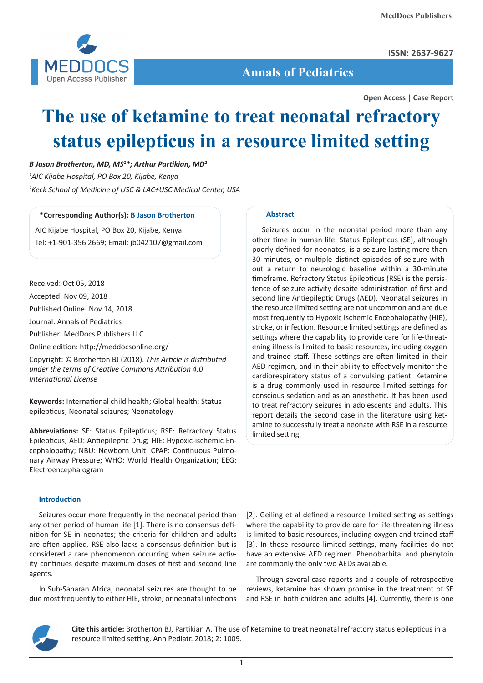**ISSN: 2637-9627**



 **Annals of Pediatrics**

**Open Access | Case Report**

# **The use of ketamine to treat neonatal refractory status epilepticus in a resource limited setting**

*B Jason Brotherton, MD, MS1 \*; Arthur Partikian, MD<sup>2</sup>*

*1 AIC Kijabe Hospital, PO Box 20, Kijabe, Kenya 2 Keck School of Medicine of USC & LAC+USC Medical Center, USA*

### **\*Corresponding Author(s): B Jason Brotherton**

AIC Kijabe Hospital, PO Box 20, Kijabe, Kenya Tel: +1-901-356 2669; Email: jb042107@gmail.com

Received: Oct 05, 2018

Accepted: Nov 09, 2018

Published Online: Nov 14, 2018

Journal: Annals of Pediatrics

Publisher: MedDocs Publishers LLC

Online edition: http://meddocsonline.org/

Copyright: © Brotherton BJ (2018). *This Article is distributed under the terms of Creative Commons Attribution 4.0 International License*

**Keywords:** International child health; Global health; Status epilepticus; Neonatal seizures; Neonatology

**Abbreviations:** SE: Status Epilepticus; RSE: Refractory Status Epilepticus; AED: Antiepileptic Drug; HIE: Hypoxic-ischemic Encephalopathy; NBU: Newborn Unit; CPAP: Continuous Pulmonary Airway Pressure; WHO: World Health Organization; EEG: Electroencephalogram

#### **Introduction**

Seizures occur more frequently in the neonatal period than any other period of human life [1]. There is no consensus definition for SE in neonates; the criteria for children and adults are often applied. RSE also lacks a consensus definition but is considered a rare phenomenon occurring when seizure activity continues despite maximum doses of first and second line agents.

In Sub-Saharan Africa, neonatal seizures are thought to be due most frequently to either HIE, stroke, or neonatal infections

#### **Abstract**

Seizures occur in the neonatal period more than any other time in human life. Status Epilepticus (SE), although poorly defined for neonates, is a seizure lasting more than 30 minutes, or multiple distinct episodes of seizure without a return to neurologic baseline within a 30-minute timeframe. Refractory Status Epilepticus (RSE) is the persistence of seizure activity despite administration of first and second line Antiepileptic Drugs (AED). Neonatal seizures in the resource limited setting are not uncommon and are due most frequently to Hypoxic Ischemic Encephalopathy (HIE), stroke, or infection. Resource limited settings are defined as settings where the capability to provide care for life-threatening illness is limited to basic resources, including oxygen and trained staff. These settings are often limited in their AED regimen, and in their ability to effectively monitor the cardiorespiratory status of a convulsing patient. Ketamine is a drug commonly used in resource limited settings for conscious sedation and as an anesthetic. It has been used to treat refractory seizures in adolescents and adults. This report details the second case in the literature using ketamine to successfully treat a neonate with RSE in a resource limited setting.

[2]. Geiling et al defined a resource limited setting as settings where the capability to provide care for life-threatening illness is limited to basic resources, including oxygen and trained staff [3]. In these resource limited settings, many facilities do not have an extensive AED regimen. Phenobarbital and phenytoin are commonly the only two AEDs available.

Through several case reports and a couple of retrospective reviews, ketamine has shown promise in the treatment of SE and RSE in both children and adults [4]. Currently, there is one



**Cite this article:** Brotherton BJ, Partikian A. The use of Ketamine to treat neonatal refractory status epilepticus in a resource limited setting. Ann Pediatr. 2018; 2: 1009.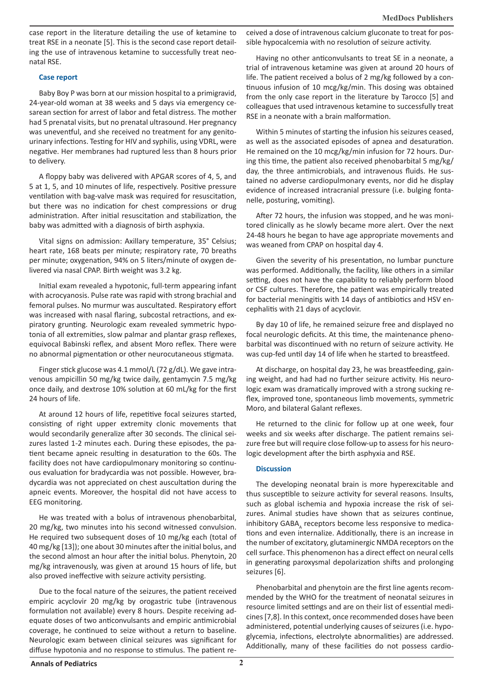case report in the literature detailing the use of ketamine to treat RSE in a neonate [5]. This is the second case report detailing the use of intravenous ketamine to successfully treat neonatal RSE.

#### **Case report**

Baby Boy P was born at our mission hospital to a primigravid, 24-year-old woman at 38 weeks and 5 days via emergency cesarean section for arrest of labor and fetal distress. The mother had 5 prenatal visits, but no prenatal ultrasound. Her pregnancy was uneventful, and she received no treatment for any genitourinary infections. Testing for HIV and syphilis, using VDRL, were negative. Her membranes had ruptured less than 8 hours prior to delivery.

A floppy baby was delivered with APGAR scores of 4, 5, and 5 at 1, 5, and 10 minutes of life, respectively. Positive pressure ventilation with bag-valve mask was required for resuscitation, but there was no indication for chest compressions or drug administration. After initial resuscitation and stabilization, the baby was admitted with a diagnosis of birth asphyxia.

Vital signs on admission: Axillary temperature, 35° Celsius; heart rate, 168 beats per minute; respiratory rate, 70 breaths per minute; oxygenation, 94% on 5 liters/minute of oxygen delivered via nasal CPAP. Birth weight was 3.2 kg.

Initial exam revealed a hypotonic, full-term appearing infant with acrocyanosis. Pulse rate was rapid with strong brachial and femoral pulses. No murmur was auscultated. Respiratory effort was increased with nasal flaring, subcostal retractions, and expiratory grunting. Neurologic exam revealed symmetric hypotonia of all extremities, slow palmar and plantar grasp reflexes, equivocal Babinski reflex, and absent Moro reflex. There were no abnormal pigmentation or other neurocutaneous stigmata.

Finger stick glucose was 4.1 mmol/L (72 g/dL). We gave intravenous ampicillin 50 mg/kg twice daily, gentamycin 7.5 mg/kg once daily, and dextrose 10% solution at 60 mL/kg for the first 24 hours of life.

At around 12 hours of life, repetitive focal seizures started, consisting of right upper extremity clonic movements that would secondarily generalize after 30 seconds. The clinical seizures lasted 1-2 minutes each. During these episodes, the patient became apneic resulting in desaturation to the 60s. The facility does not have cardiopulmonary monitoring so continuous evaluation for bradycardia was not possible. However, bradycardia was not appreciated on chest auscultation during the apneic events. Moreover, the hospital did not have access to EEG monitoring.

He was treated with a bolus of intravenous phenobarbital, 20 mg/kg, two minutes into his second witnessed convulsion. He required two subsequent doses of 10 mg/kg each (total of 40 mg/kg [13]); one about 30 minutes after the initial bolus, and the second almost an hour after the initial bolus. Phenytoin, 20 mg/kg intravenously, was given at around 15 hours of life, but also proved ineffective with seizure activity persisting.

Due to the focal nature of the seizures, the patient received empiric acyclovir 20 mg/kg by orogastric tube (intravenous formulation not available) every 8 hours. Despite receiving adequate doses of two anticonvulsants and empiric antimicrobial coverage, he continued to seize without a return to baseline. Neurologic exam between clinical seizures was significant for diffuse hypotonia and no response to stimulus. The patient received a dose of intravenous calcium gluconate to treat for possible hypocalcemia with no resolution of seizure activity.

Having no other anticonvulsants to treat SE in a neonate, a trial of intravenous ketamine was given at around 20 hours of life. The patient received a bolus of 2 mg/kg followed by a continuous infusion of 10 mcg/kg/min. This dosing was obtained from the only case report in the literature by Tarocco [5] and colleagues that used intravenous ketamine to successfully treat RSE in a neonate with a brain malformation.

Within 5 minutes of starting the infusion his seizures ceased, as well as the associated episodes of apnea and desaturation. He remained on the 10 mcg/kg/min infusion for 72 hours. During this time, the patient also received phenobarbital 5 mg/kg/ day, the three antimicrobials, and intravenous fluids. He sustained no adverse cardiopulmonary events, nor did he display evidence of increased intracranial pressure (i.e. bulging fontanelle, posturing, vomiting).

After 72 hours, the infusion was stopped, and he was monitored clinically as he slowly became more alert. Over the next 24-48 hours he began to have age appropriate movements and was weaned from CPAP on hospital day 4.

Given the severity of his presentation, no lumbar puncture was performed. Additionally, the facility, like others in a similar setting, does not have the capability to reliably perform blood or CSF cultures. Therefore, the patient was empirically treated for bacterial meningitis with 14 days of antibiotics and HSV encephalitis with 21 days of acyclovir.

By day 10 of life, he remained seizure free and displayed no focal neurologic deficits. At this time, the maintenance phenobarbital was discontinued with no return of seizure activity. He was cup-fed until day 14 of life when he started to breastfeed.

At discharge, on hospital day 23, he was breastfeeding, gaining weight, and had had no further seizure activity. His neurologic exam was dramatically improved with a strong sucking reflex, improved tone, spontaneous limb movements, symmetric Moro, and bilateral Galant reflexes.

He returned to the clinic for follow up at one week, four weeks and six weeks after discharge. The patient remains seizure free but will require close follow-up to assess for his neurologic development after the birth asphyxia and RSE.

## **Discussion**

The developing neonatal brain is more hyperexcitable and thus susceptible to seizure activity for several reasons. Insults, such as global ischemia and hypoxia increase the risk of seizures. Animal studies have shown that as seizures continue, inhibitory GABA<sub>4</sub> receptors become less responsive to medications and even internalize. Additionally, there is an increase in the number of excitatory, glutaminergic NMDA receptors on the cell surface. This phenomenon has a direct effect on neural cells in generating paroxysmal depolarization shifts and prolonging seizures [6].

Phenobarbital and phenytoin are the first line agents recommended by the WHO for the treatment of neonatal seizures in resource limited settings and are on their list of essential medicines [7,8]. In this context, once recommended doses have been administered, potential underlying causes of seizures (i.e. hypoglycemia, infections, electrolyte abnormalities) are addressed. Additionally, many of these facilities do not possess cardio